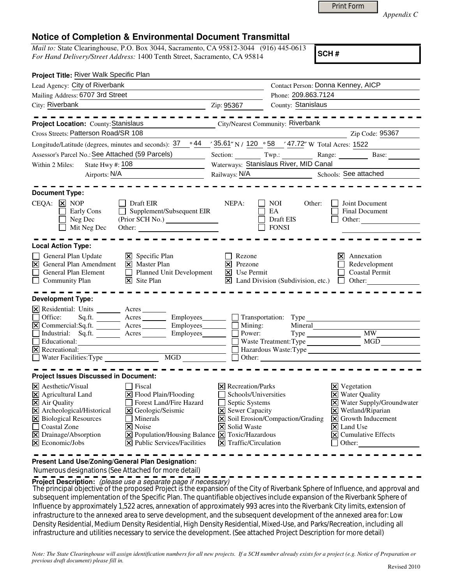|  | Print Form |
|--|------------|
|  |            |

*Appendix C* 

## **Notice of Completion & Environmental Document Transmittal**

*Mail to:* State Clearinghouse, P.O. Box 3044, Sacramento, CA 95812-3044 (916) 445-0613 *For Hand Delivery/Street Address:* 1400 Tenth Street, Sacramento, CA 95814

**SCH #**

| Project Title: River Walk Specific Plan                                                                                                                                                                                                                                                                                                                                                                                                                                                                           |                                                                                                                                                                           |                                                                   |                                                                                                                                                                                                                                                                           |  |
|-------------------------------------------------------------------------------------------------------------------------------------------------------------------------------------------------------------------------------------------------------------------------------------------------------------------------------------------------------------------------------------------------------------------------------------------------------------------------------------------------------------------|---------------------------------------------------------------------------------------------------------------------------------------------------------------------------|-------------------------------------------------------------------|---------------------------------------------------------------------------------------------------------------------------------------------------------------------------------------------------------------------------------------------------------------------------|--|
| Lead Agency: City of Riverbank                                                                                                                                                                                                                                                                                                                                                                                                                                                                                    | Contact Person: Donna Kenney, AICP                                                                                                                                        |                                                                   |                                                                                                                                                                                                                                                                           |  |
| Mailing Address: 6707 3rd Street                                                                                                                                                                                                                                                                                                                                                                                                                                                                                  |                                                                                                                                                                           | Phone: 209.863.7124                                               |                                                                                                                                                                                                                                                                           |  |
| City: Riverbank<br><u> 1989 - Johann Barn, mars ann an t-Amhair an t-Amhair ann an t-Amhair an t-Amhair an t-Amhair an t-Amhair ann an t-A</u>                                                                                                                                                                                                                                                                                                                                                                    | Zip: 95367                                                                                                                                                                | County: Stanislaus                                                |                                                                                                                                                                                                                                                                           |  |
|                                                                                                                                                                                                                                                                                                                                                                                                                                                                                                                   |                                                                                                                                                                           |                                                                   |                                                                                                                                                                                                                                                                           |  |
| Project Location: County: Stanislaus                                                                                                                                                                                                                                                                                                                                                                                                                                                                              | City/Nearest Community: Riverbank                                                                                                                                         |                                                                   |                                                                                                                                                                                                                                                                           |  |
| Cross Streets: Patterson Road/SR 108                                                                                                                                                                                                                                                                                                                                                                                                                                                                              |                                                                                                                                                                           |                                                                   | Zip Code: 95367                                                                                                                                                                                                                                                           |  |
| Longitude/Latitude (degrees, minutes and seconds): 37                                                                                                                                                                                                                                                                                                                                                                                                                                                             |                                                                                                                                                                           | ∘44 / 35.61" N / 120 ° 58 / 47.72" W Total Acres: 1522            |                                                                                                                                                                                                                                                                           |  |
| Assessor's Parcel No.: See Attached (59 Parcels)<br>$\sim$                                                                                                                                                                                                                                                                                                                                                                                                                                                        |                                                                                                                                                                           |                                                                   | Section: Twp.: Range: Base:                                                                                                                                                                                                                                               |  |
| State Hwy #: 108<br>Within 2 Miles:                                                                                                                                                                                                                                                                                                                                                                                                                                                                               | Waterways: Stanislaus River, MID Canal                                                                                                                                    |                                                                   |                                                                                                                                                                                                                                                                           |  |
| Airports: N/A                                                                                                                                                                                                                                                                                                                                                                                                                                                                                                     |                                                                                                                                                                           |                                                                   | Schools: See attached                                                                                                                                                                                                                                                     |  |
| <b>Document Type:</b><br>$CEQA: \times NOP$<br>Draft EIR<br>Early Cons<br>$\Box$ Supplement/Subsequent EIR<br>Neg Dec<br>Mit Neg Dec                                                                                                                                                                                                                                                                                                                                                                              | NEPA:                                                                                                                                                                     | NOI<br>Other:<br>EA<br>Draft EIS<br><b>FONSI</b>                  | Joint Document<br><b>Final Document</b><br>Other:                                                                                                                                                                                                                         |  |
| <b>Local Action Type:</b><br>$\boxtimes$ Specific Plan<br>General Plan Update<br><b>X</b> General Plan Amendment<br>$\overline{\mathsf{X}}$ Master Plan<br>$\Box$ General Plan Element<br>Planned Unit Development<br>$\overline{\mathsf{x}}$ Site Plan<br>$\Box$ Community Plan<br><b>Development Type:</b>                                                                                                                                                                                                      | Rezone<br>$\vert$ Prezone<br>$\boxtimes$ Use Permit                                                                                                                       | $\mathbf{\times}$ Land Division (Subdivision, etc.) $\Box$ Other: | $\times$ Annexation<br>Redevelopment<br><b>Coastal Permit</b>                                                                                                                                                                                                             |  |
| X Residential: Units ________ Acres _______<br>Sq.ft. _________ Acres __________ Employees_________ $\Box$ Transportation: Type<br>Office:<br>Industrial: Sq.ft. <u>Acres</u> Acres Employees<br>$\Box$ Educational:<br><u> 1990 - Johann Barbara, martin a</u><br>$\vert \overline{\mathsf{x}} \vert$ Recreational:                                                                                                                                                                                              | Power:                                                                                                                                                                    | Mineral<br>Hazardous Waste: Type                                  | Type MW_                                                                                                                                                                                                                                                                  |  |
| <b>Project Issues Discussed in Document:</b>                                                                                                                                                                                                                                                                                                                                                                                                                                                                      |                                                                                                                                                                           |                                                                   |                                                                                                                                                                                                                                                                           |  |
| X Aesthetic/Visual<br>  Fiscal<br>$\boxtimes$ Agricultural Land<br>$\Xi$ Flood Plain/Flooding<br>$\overline{\mathsf{X}}$ Air Quality<br>Forest Land/Fire Hazard<br>X Archeological/Historical<br>X Geologic/Seismic<br>X Biological Resources<br>П<br>Minerals<br>Coastal Zone<br>$\overline{\mathsf{x}}$ Noise<br>X Drainage/Absorption<br>$\boxed{\mathbf{X}}$ Population/Housing Balance $\boxed{\mathbf{X}}$ Toxic/Hazardous<br>$\vert$ <b>X</b> Economic/Jobs<br>$\triangleright$ Public Services/Facilities | $ \mathsf{X} $ Recreation/Parks<br>Schools/Universities<br>$\Box$ Septic Systems<br><b>X</b> Sewer Capacity<br><b>X</b> Solid Waste<br>$ \mathsf{X} $ Traffic/Circulation | $\triangleright$ Soil Erosion/Compaction/Grading                  | $\boxtimes$ Vegetation<br><b>X</b> Water Quality<br>X Water Supply/Groundwater<br>$\boxtimes$ Wetland/Riparian<br>$\vert\overline{\mathsf{x}}\vert$ Growth Inducement<br>$\overline{\mathsf{x}}$ Land Use<br>$\vert \mathbf{x} \vert$ Cumulative Effects<br>$\Box$ Other: |  |

**Present Land Use/Zoning/General Plan Designation:**

Numerous designations (See Attached for more detail)

**Project Description:** (please use a separate page if necessary)

The principal objective of the proposed Project is the expansion of the City of Riverbank Sphere of Influence, and approval and<br>References in the largest time of the Case is a Plan. The meetistich self-active include among subsequent implementation of the Specific Plan. The quantifiable objectives include expansion of the Riverbank Sphere of Influence by approximately 1,522 acres, annexation of approximately 993 acres into the Riverbank City limits, extension of infrastructure to the annexed area to serve development, and the subsequent development of the annexed area for: Low Density Residential, Medium Density Residential, High Density Residential, Mixed-Use, and Parks/Recreation, including all infrastructure and utilities necessary to service the development. (See attached Project Description for more detail)

*Note: The State Clearinghouse will assign identification numbers for all new projects. If a SCH number already exists for a project (e.g. Notice of Preparation or previous draft document) please fill in.*